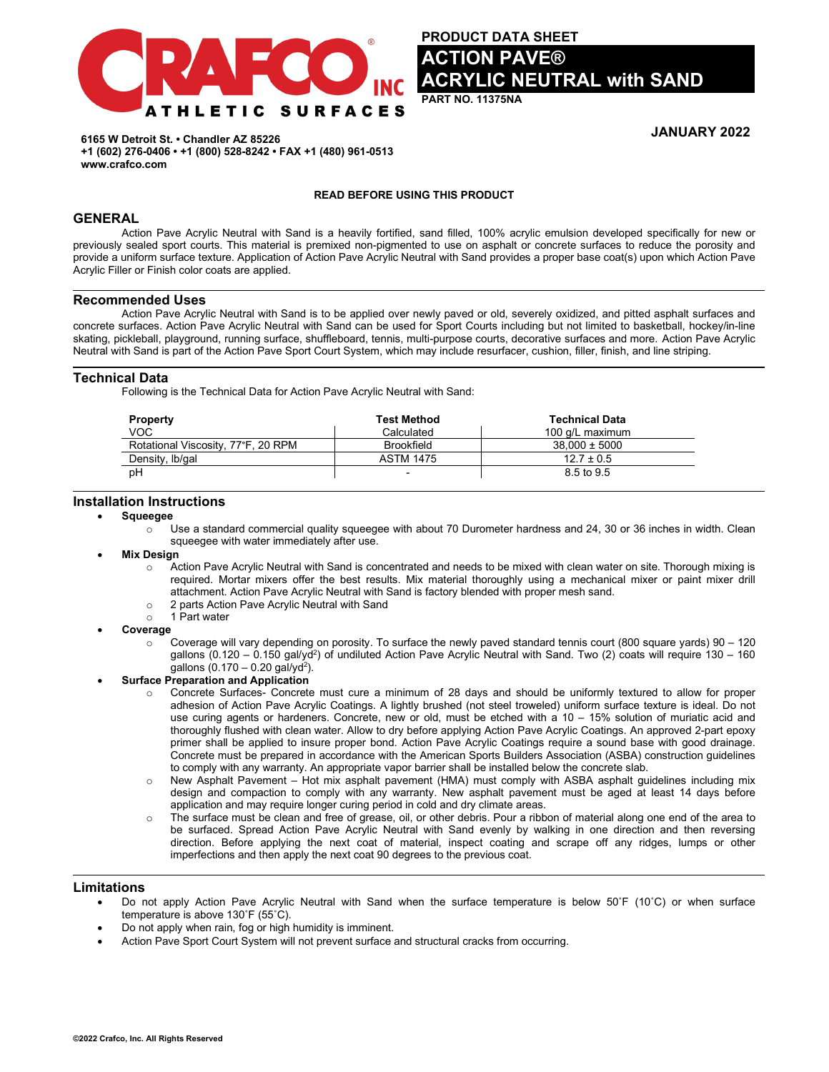

**PRODUCT DATA SHEET TION PAVE® YLIC NEUTRAL with SAND** 

**PART NO. 11375NA**

**JANUARY 2022**

**6165 W Detroit St. • Chandler AZ 85226 +1 (602) 276-0406 • +1 (800) 528-8242 • FAX +1 (480) 961-0513 www.crafco.com**

#### **READ BEFORE USING THIS PRODUCT**

## **GENERAL**

Action Pave Acrylic Neutral with Sand is a heavily fortified, sand filled, 100% acrylic emulsion developed specifically for new or previously sealed sport courts. This material is premixed non-pigmented to use on asphalt or concrete surfaces to reduce the porosity and provide a uniform surface texture. Application of Action Pave Acrylic Neutral with Sand provides a proper base coat(s) upon which Action Pave Acrylic Filler or Finish color coats are applied.

#### **Recommended Uses**

Action Pave Acrylic Neutral with Sand is to be applied over newly paved or old, severely oxidized, and pitted asphalt surfaces and concrete surfaces. Action Pave Acrylic Neutral with Sand can be used for Sport Courts including but not limited to basketball, hockey/in-line skating, pickleball, playground, running surface, shuffleboard, tennis, multi-purpose courts, decorative surfaces and more. Action Pave Acrylic Neutral with Sand is part of the Action Pave Sport Court System, which may include resurfacer, cushion, filler, finish, and line striping.

## **Technical Data**

Following is the Technical Data for Action Pave Acrylic Neutral with Sand:

| <b>Property</b>                    | Test Method       | <b>Technical Data</b> |
|------------------------------------|-------------------|-----------------------|
| VOC                                | Calculated        | 100 g/L maximum       |
| Rotational Viscosity, 77°F, 20 RPM | <b>Brookfield</b> | $38.000 \pm 5000$     |
| Density, Ib/gal                    | <b>ASTM 1475</b>  | $12.7 \pm 0.5$        |
| pH                                 | -                 | 8.5 to 9.5            |

#### **Installation Instructions**

- **Squeegee**
	- $\circ$  Use a standard commercial quality squeegee with about 70 Durometer hardness and 24, 30 or 36 inches in width. Clean squeegee with water immediately after use.
- **Mix Design** 
	- o Action Pave Acrylic Neutral with Sand is concentrated and needs to be mixed with clean water on site. Thorough mixing is required. Mortar mixers offer the best results. Mix material thoroughly using a mechanical mixer or paint mixer drill attachment. Action Pave Acrylic Neutral with Sand is factory blended with proper mesh sand.
	- $\circ$  2 parts Action Pave Acrylic Neutral with Sand  $\circ$  1 Part water
	- 1 Part water
- **Coverage**
	- $\circ$  Coverage will vary depending on porosity. To surface the newly paved standard tennis court (800 square yards) 90 120 gallons (0.120 – 0.150 gal/yd<sup>2</sup>) of undiluted Action Pave Acrylic Neutral with Sand. Two (2) coats will require 130 – 160 gallons  $(0.170 - 0.20$  gal/yd<sup>2</sup>).

#### • **Surface Preparation and Application**

- Concrete Surfaces- Concrete must cure a minimum of 28 days and should be uniformly textured to allow for proper adhesion of Action Pave Acrylic Coatings. A lightly brushed (not steel troweled) uniform surface texture is ideal. Do not use curing agents or hardeners. Concrete, new or old, must be etched with a 10 – 15% solution of muriatic acid and thoroughly flushed with clean water. Allow to dry before applying Action Pave Acrylic Coatings. An approved 2-part epoxy primer shall be applied to insure proper bond. Action Pave Acrylic Coatings require a sound base with good drainage. Concrete must be prepared in accordance with the American Sports Builders Association (ASBA) construction guidelines to comply with any warranty. An appropriate vapor barrier shall be installed below the concrete slab.
- o New Asphalt Pavement Hot mix asphalt pavement (HMA) must comply with ASBA asphalt guidelines including mix design and compaction to comply with any warranty. New asphalt pavement must be aged at least 14 days before application and may require longer curing period in cold and dry climate areas.
- o The surface must be clean and free of grease, oil, or other debris. Pour a ribbon of material along one end of the area to be surfaced. Spread Action Pave Acrylic Neutral with Sand evenly by walking in one direction and then reversing direction. Before applying the next coat of material, inspect coating and scrape off any ridges, lumps or other imperfections and then apply the next coat 90 degrees to the previous coat.

## **Limitations**

- Do not apply Action Pave Acrylic Neutral with Sand when the surface temperature is below 50˚F (10˚C) or when surface temperature is above 130˚F (55˚C).
- Do not apply when rain, fog or high humidity is imminent.
- Action Pave Sport Court System will not prevent surface and structural cracks from occurring.